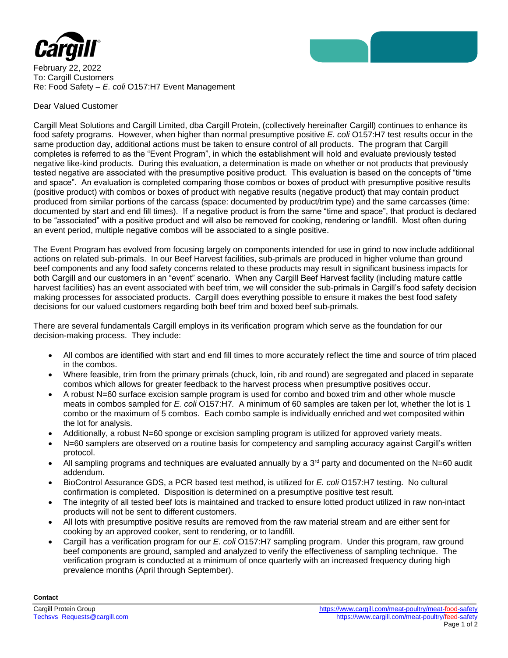

February 22, 2022 To: Cargill Customers Re: Food Safety – *E. coli* O157:H7 Event Management

## Dear Valued Customer

Cargill Meat Solutions and Cargill Limited, dba Cargill Protein, (collectively hereinafter Cargill) continues to enhance its food safety programs. However, when higher than normal presumptive positive *E. coli* O157:H7 test results occur in the same production day, additional actions must be taken to ensure control of all products. The program that Cargill completes is referred to as the "Event Program", in which the establishment will hold and evaluate previously tested negative like-kind products. During this evaluation, a determination is made on whether or not products that previously tested negative are associated with the presumptive positive product. This evaluation is based on the concepts of "time and space". An evaluation is completed comparing those combos or boxes of product with presumptive positive results (positive product) with combos or boxes of product with negative results (negative product) that may contain product produced from similar portions of the carcass (space: documented by product/trim type) and the same carcasses (time: documented by start and end fill times). If a negative product is from the same "time and space", that product is declared to be "associated" with a positive product and will also be removed for cooking, rendering or landfill. Most often during an event period, multiple negative combos will be associated to a single positive.

The Event Program has evolved from focusing largely on components intended for use in grind to now include additional actions on related sub-primals. In our Beef Harvest facilities, sub-primals are produced in higher volume than ground beef components and any food safety concerns related to these products may result in significant business impacts for both Cargill and our customers in an "event" scenario. When any Cargill Beef Harvest facility (including mature cattle harvest facilities) has an event associated with beef trim, we will consider the sub-primals in Cargill's food safety decision making processes for associated products. Cargill does everything possible to ensure it makes the best food safety decisions for our valued customers regarding both beef trim and boxed beef sub-primals.

There are several fundamentals Cargill employs in its verification program which serve as the foundation for our decision-making process. They include:

- All combos are identified with start and end fill times to more accurately reflect the time and source of trim placed in the combos.
- Where feasible, trim from the primary primals (chuck, loin, rib and round) are segregated and placed in separate combos which allows for greater feedback to the harvest process when presumptive positives occur.
- A robust N=60 surface excision sample program is used for combo and boxed trim and other whole muscle meats in combos sampled for *E. coli* O157:H7*.* A minimum of 60 samples are taken per lot, whether the lot is 1 combo or the maximum of 5 combos. Each combo sample is individually enriched and wet composited within the lot for analysis.
- Additionally, a robust N=60 sponge or excision sampling program is utilized for approved variety meats.
- N=60 samplers are observed on a routine basis for competency and sampling accuracy against Cargill's written protocol.
- All sampling programs and techniques are evaluated annually by a  $3<sup>rd</sup>$  party and documented on the N=60 audit addendum.
- BioControl Assurance GDS, a PCR based test method, is utilized for *E. coli* O157:H7 testing. No cultural confirmation is completed. Disposition is determined on a presumptive positive test result.
- The integrity of all tested beef lots is maintained and tracked to ensure lotted product utilized in raw non-intact products will not be sent to different customers.
- All lots with presumptive positive results are removed from the raw material stream and are either sent for cooking by an approved cooker, sent to rendering, or to landfill.
- Cargill has a verification program for our *E. coli* O157:H7 sampling program. Under this program, raw ground beef components are ground, sampled and analyzed to verify the effectiveness of sampling technique. The verification program is conducted at a minimum of once quarterly with an increased frequency during high prevalence months (April through September).